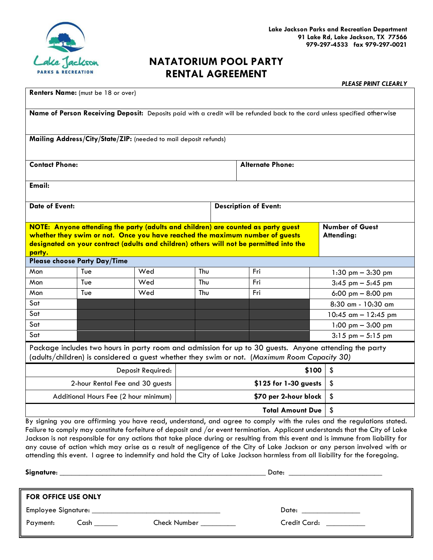

# **NATATORIUM POOL PARTY RENTAL AGREEMENT**

*PLEASE PRINT CLEARLY*

| Renters Name: (must be 18 or over)                                                                                                                                                                                                                                                                                                                                                                                                                                                                                                                                                                                                                    |                                 |     |     |                              |                       |                                      |  |  |  |  |
|-------------------------------------------------------------------------------------------------------------------------------------------------------------------------------------------------------------------------------------------------------------------------------------------------------------------------------------------------------------------------------------------------------------------------------------------------------------------------------------------------------------------------------------------------------------------------------------------------------------------------------------------------------|---------------------------------|-----|-----|------------------------------|-----------------------|--------------------------------------|--|--|--|--|
| Name of Person Receiving Deposit: Deposits paid with a credit will be refunded back to the card unless specified otherwise                                                                                                                                                                                                                                                                                                                                                                                                                                                                                                                            |                                 |     |     |                              |                       |                                      |  |  |  |  |
| Mailing Address/City/State/ZIP: (needed to mail deposit refunds)                                                                                                                                                                                                                                                                                                                                                                                                                                                                                                                                                                                      |                                 |     |     |                              |                       |                                      |  |  |  |  |
| <b>Contact Phone:</b>                                                                                                                                                                                                                                                                                                                                                                                                                                                                                                                                                                                                                                 |                                 |     |     | <b>Alternate Phone:</b>      |                       |                                      |  |  |  |  |
| <b>Email:</b>                                                                                                                                                                                                                                                                                                                                                                                                                                                                                                                                                                                                                                         |                                 |     |     |                              |                       |                                      |  |  |  |  |
| <b>Date of Event:</b>                                                                                                                                                                                                                                                                                                                                                                                                                                                                                                                                                                                                                                 |                                 |     |     | <b>Description of Event:</b> |                       |                                      |  |  |  |  |
| NOTE: Anyone attending the party (adults and children) are counted as party guest<br><b>Number of Guest</b><br>whether they swim or not. Once you have reached the maximum number of guests<br>Attending:<br>designated on your contract (adults and children) others will not be permitted into the<br>party.                                                                                                                                                                                                                                                                                                                                        |                                 |     |     |                              |                       |                                      |  |  |  |  |
| <b>Please choose Party Day/Time</b>                                                                                                                                                                                                                                                                                                                                                                                                                                                                                                                                                                                                                   |                                 |     |     |                              |                       |                                      |  |  |  |  |
| Mon                                                                                                                                                                                                                                                                                                                                                                                                                                                                                                                                                                                                                                                   | Tue                             | Wed | Thu |                              | Fri                   | $1:30$ pm $-3:30$ pm                 |  |  |  |  |
| Mon                                                                                                                                                                                                                                                                                                                                                                                                                                                                                                                                                                                                                                                   | Tue                             | Wed | Thu |                              | Fri                   | $3:45$ pm $-5:45$ pm                 |  |  |  |  |
| Mon                                                                                                                                                                                                                                                                                                                                                                                                                                                                                                                                                                                                                                                   | Tue                             | Wed | Thu |                              | Fri                   | 6:00 pm $-8:00$ pm                   |  |  |  |  |
| Sat                                                                                                                                                                                                                                                                                                                                                                                                                                                                                                                                                                                                                                                   |                                 |     |     |                              |                       | 8:30 am - 10:30 am                   |  |  |  |  |
| Sat                                                                                                                                                                                                                                                                                                                                                                                                                                                                                                                                                                                                                                                   |                                 |     |     |                              |                       | 10:45 $\text{cm} - 12:45 \text{ pm}$ |  |  |  |  |
| Sat                                                                                                                                                                                                                                                                                                                                                                                                                                                                                                                                                                                                                                                   |                                 |     |     |                              |                       | 1:00 pm $-3:00$ pm                   |  |  |  |  |
| Sat                                                                                                                                                                                                                                                                                                                                                                                                                                                                                                                                                                                                                                                   |                                 |     |     |                              |                       | $3:15$ pm $-5:15$ pm                 |  |  |  |  |
| Package includes two hours in party room and admission for up to 30 guests. Anyone attending the party<br>(adults/children) is considered a guest whether they swim or not. (Maximum Room Capacity 30)                                                                                                                                                                                                                                                                                                                                                                                                                                                |                                 |     |     |                              |                       |                                      |  |  |  |  |
| Deposit Required:                                                                                                                                                                                                                                                                                                                                                                                                                                                                                                                                                                                                                                     |                                 |     |     |                              | \$100                 | \$                                   |  |  |  |  |
|                                                                                                                                                                                                                                                                                                                                                                                                                                                                                                                                                                                                                                                       | 2-hour Rental Fee and 30 guests |     |     |                              | \$125 for 1-30 guests | \$                                   |  |  |  |  |
| Additional Hours Fee (2 hour minimum)<br>\$70 per 2-hour block                                                                                                                                                                                                                                                                                                                                                                                                                                                                                                                                                                                        |                                 |     |     |                              |                       | \$                                   |  |  |  |  |
|                                                                                                                                                                                                                                                                                                                                                                                                                                                                                                                                                                                                                                                       | <b>Total Amount Due</b><br>\$   |     |     |                              |                       |                                      |  |  |  |  |
| By signing you are affirming you have read, understand, and agree to comply with the rules and the regulations stated.<br>Failure to comply may constitute forfeiture of deposit and /or event termination. Applicant understands that the City of Lake<br>Jackson is not responsible for any actions that take place during or resulting from this event and is immune from liability for<br>any cause of action which may arise as a result of negligence of the City of Lake Jackson or any person involved with or<br>attending this event. I agree to indemnify and hold the City of Lake Jackson harmless from all liability for the foregoing. |                                 |     |     |                              |                       |                                      |  |  |  |  |

**Signature**: \_\_\_\_\_\_\_\_\_\_\_\_\_\_\_\_\_\_\_\_\_\_\_\_\_\_\_\_\_\_\_\_\_\_\_\_\_\_\_\_\_\_\_\_\_\_\_\_\_\_\_\_\_ Date: \_\_\_\_\_\_\_\_\_\_\_\_\_\_\_\_\_\_\_\_\_\_\_\_ **FOR OFFICE USE ONLY** Employee Signature: \_\_\_\_\_\_\_\_\_\_\_\_\_\_\_\_\_\_\_\_\_\_\_\_\_\_\_\_\_\_\_\_\_ Date: \_\_\_\_\_\_\_\_\_\_\_\_\_\_\_ Payment: Cash Check Number Check Number Credit Card: 2006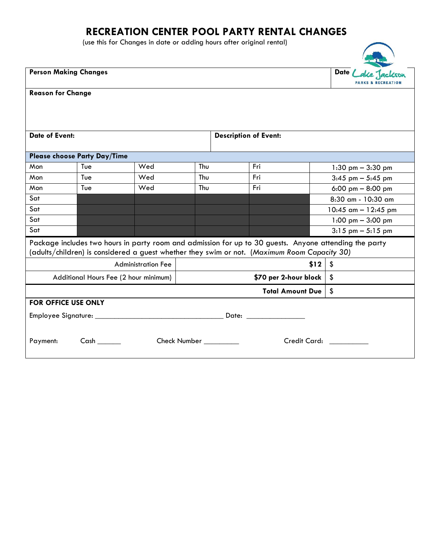## **RECREATION CENTER POOL PARTY RENTAL CHANGES**

(use this for Changes in date or adding hours after original rental)

| <b>Person Making Changes</b>                                                                           | Date /                                |                              |     |                             |                              |                                      |  |  |  |  |  |
|--------------------------------------------------------------------------------------------------------|---------------------------------------|------------------------------|-----|-----------------------------|------------------------------|--------------------------------------|--|--|--|--|--|
| <b>Reason for Change</b>                                                                               |                                       |                              |     |                             |                              |                                      |  |  |  |  |  |
|                                                                                                        |                                       |                              |     |                             |                              |                                      |  |  |  |  |  |
|                                                                                                        |                                       |                              |     |                             |                              |                                      |  |  |  |  |  |
|                                                                                                        |                                       |                              |     |                             |                              |                                      |  |  |  |  |  |
| <b>Date of Event:</b>                                                                                  |                                       | <b>Description of Event:</b> |     |                             |                              |                                      |  |  |  |  |  |
|                                                                                                        |                                       |                              |     |                             |                              |                                      |  |  |  |  |  |
| Please choose Party Day/Time                                                                           |                                       |                              |     |                             |                              |                                      |  |  |  |  |  |
| Mon                                                                                                    | Tue                                   | Wed                          | Thu |                             | Fri                          | 1:30 pm $-$ 3:30 pm                  |  |  |  |  |  |
| Mon                                                                                                    | Tue                                   | Wed                          | Thu |                             | Fri                          | $3:45$ pm $-5:45$ pm                 |  |  |  |  |  |
| Mon                                                                                                    | Tue                                   | Wed                          | Thu |                             | Fri                          | 6:00 pm $-$ 8:00 pm                  |  |  |  |  |  |
| Sat                                                                                                    |                                       |                              |     |                             |                              | 8:30 am - 10:30 am                   |  |  |  |  |  |
| Sat                                                                                                    |                                       |                              |     |                             |                              | 10:45 $\text{cm} - 12:45 \text{ pm}$ |  |  |  |  |  |
| Sat                                                                                                    |                                       |                              |     |                             |                              | 1:00 pm $-$ 3:00 pm                  |  |  |  |  |  |
| Sat                                                                                                    |                                       |                              |     |                             |                              | $3:15$ pm $-5:15$ pm                 |  |  |  |  |  |
| Package includes two hours in party room and admission for up to 30 guests. Anyone attending the party |                                       |                              |     |                             |                              |                                      |  |  |  |  |  |
| (adults/children) is considered a guest whether they swim or not. (Maximum Room Capacity 30)           |                                       |                              |     |                             |                              |                                      |  |  |  |  |  |
|                                                                                                        | <b>Administration Fee</b>             |                              |     | \$12<br>\$                  |                              |                                      |  |  |  |  |  |
|                                                                                                        | Additional Hours Fee (2 hour minimum) |                              |     | \$70 per 2-hour block<br>\$ |                              |                                      |  |  |  |  |  |
|                                                                                                        | \$<br><b>Total Amount Due</b>         |                              |     |                             |                              |                                      |  |  |  |  |  |
| <b>FOR OFFICE USE ONLY</b>                                                                             |                                       |                              |     |                             |                              |                                      |  |  |  |  |  |
|                                                                                                        |                                       |                              |     |                             |                              |                                      |  |  |  |  |  |
|                                                                                                        |                                       |                              |     |                             |                              |                                      |  |  |  |  |  |
| Cash                                                                                                   |                                       |                              |     |                             | Credit Card: The Credit Card |                                      |  |  |  |  |  |
| Check Number<br>Payment:                                                                               |                                       |                              |     |                             |                              |                                      |  |  |  |  |  |
|                                                                                                        |                                       |                              |     |                             |                              |                                      |  |  |  |  |  |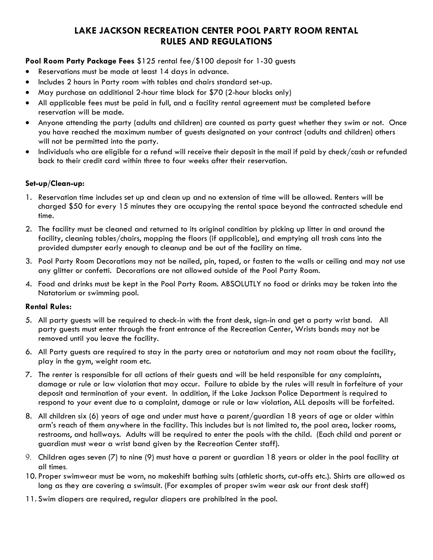### **LAKE JACKSON RECREATION CENTER POOL PARTY ROOM RENTAL RULES AND REGULATIONS**

### **Pool Room Party Package Fees** \$125 rental fee/\$100 deposit for 1-30 guests

- Reservations must be made at least 14 days in advance.
- Includes 2 hours in Party room with tables and chairs standard set-up.
- May purchase an additional 2-hour time block for \$70 (2-hour blocks only)
- All applicable fees must be paid in full, and a facility rental agreement must be completed before reservation will be made.
- Anyone attending the party (adults and children) are counted as party guest whether they swim or not. Once you have reached the maximum number of guests designated on your contract (adults and children) others will not be permitted into the party.
- Individuals who are eligible for a refund will receive their deposit in the mail if paid by check/cash or refunded back to their credit card within three to four weeks after their reservation.

#### **Set-up/Clean-up:**

- 1. Reservation time includes set up and clean up and no extension of time will be allowed. Renters will be charged \$50 for every 15 minutes they are occupying the rental space beyond the contracted schedule end time.
- 2. The facility must be cleaned and returned to its original condition by picking up litter in and around the facility, cleaning tables/chairs, mopping the floors (if applicable), and emptying all trash cans into the provided dumpster early enough to cleanup and be out of the facility on time.
- 3. Pool Party Room Decorations may not be nailed, pin, taped, or fasten to the walls or ceiling and may not use any glitter or confetti. Decorations are not allowed outside of the Pool Party Room.
- 4. Food and drinks must be kept in the Pool Party Room. ABSOLUTLY no food or drinks may be taken into the Natatorium or swimming pool.

#### **Rental Rules:**

- 5. All party guests will be required to check-in with the front desk, sign-in and get a party wrist band. All party guests must enter through the front entrance of the Recreation Center, Wrists bands may not be removed until you leave the facility.
- 6. All Party guests are required to stay in the party area or natatorium and may not roam about the facility, play in the gym, weight room etc.
- 7. The renter is responsible for all actions of their guests and will be held responsible for any complaints, damage or rule or law violation that may occur. Failure to abide by the rules will result in forfeiture of your deposit and termination of your event. In addition, if the Lake Jackson Police Department is required to respond to your event due to a complaint, damage or rule or law violation, ALL deposits will be forfeited.
- 8. All children six (6) years of age and under must have a parent/guardian 18 years of age or older within arm's reach of them anywhere in the facility. This includes but is not limited to, the pool area, locker rooms, restrooms, and hallways. Adults will be required to enter the pools with the child. (Each child and parent or guardian must wear a wrist band given by the Recreation Center staff).
- 9. Children ages seven (7) to nine (9) must have a parent or guardian 18 years or older in the pool facility at all times.
- 10. Proper swimwear must be worn, no makeshift bathing suits (athletic shorts, cut-offs etc.). Shirts are allowed as long as they are covering a swimsuit. (For examples of proper swim wear ask our front desk staff)
- 11. Swim diapers are required, regular diapers are prohibited in the pool.